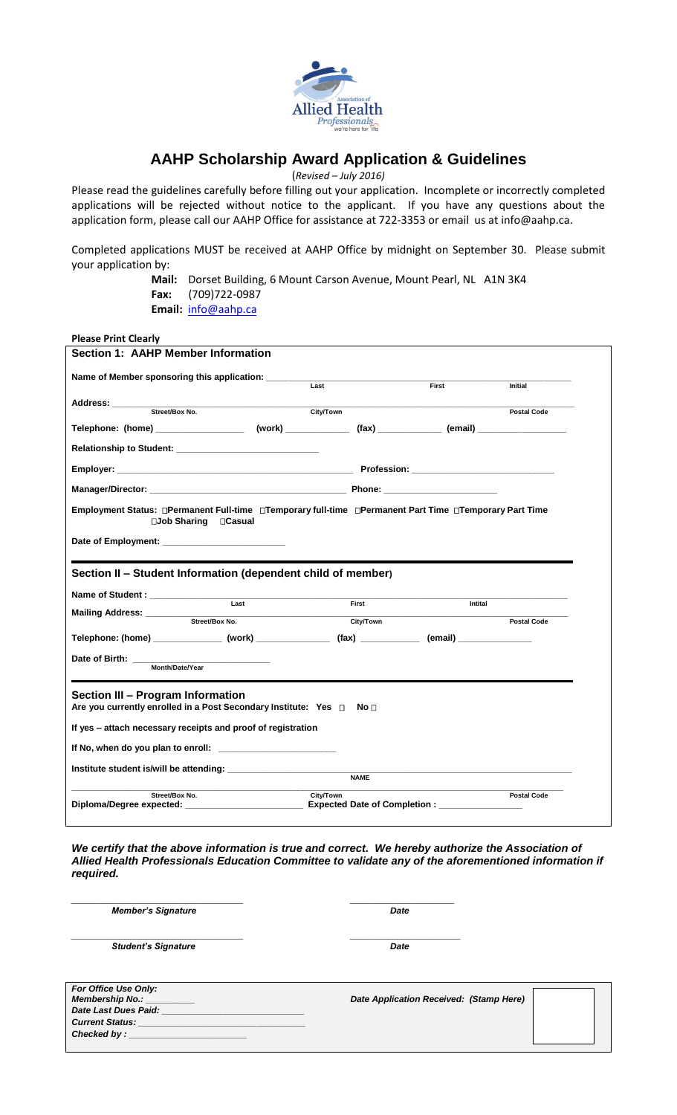

# **AAHP Scholarship Award Application & Guidelines**

(*Revised – July 2016)*

Please read the guidelines carefully before filling out your application. Incomplete or incorrectly completed applications will be rejected without notice to the applicant. If you have any questions about the application form, please call our AAHP Office for assistance at 722-3353 or email us at info@aahp.ca.

Completed applications MUST be received at AAHP Office by midnight on September 30. Please submit your application by:

> **Mail:** Dorset Building, 6 Mount Carson Avenue, Mount Pearl, NL A1N 3K4 **Fax:** (709)722-0987 **Email:** [info@aahp.ca](mailto:info@aahp.ca)

**Please Print Clearly**

| <b>Section 1: AAHP Member Information</b>                                                                                                                                 |             |       |                    |
|---------------------------------------------------------------------------------------------------------------------------------------------------------------------------|-------------|-------|--------------------|
| Name of Member sponsoring this application:                                                                                                                               | Last        | First | <b>Initial</b>     |
| Address: _______                                                                                                                                                          |             |       |                    |
| Street/Box No.                                                                                                                                                            | City/Town   |       | <b>Postal Code</b> |
|                                                                                                                                                                           |             |       |                    |
| Relationship to Student: Network and Students and Students and Students and Students and Students and Students                                                            |             |       |                    |
|                                                                                                                                                                           |             |       |                    |
|                                                                                                                                                                           |             |       |                    |
| Employment Status: OPermanent Full-time OTemporary full-time OPermanent Part Time OTemporary Part Time<br>□Job Sharing □ Casual                                           |             |       |                    |
| Date of Employment:                                                                                                                                                       |             |       |                    |
| Section II - Student Information (dependent child of member)                                                                                                              |             |       |                    |
|                                                                                                                                                                           |             |       |                    |
| Last                                                                                                                                                                      | First       |       | Intital            |
| Mailing Address: ________<br>Street/Box No.                                                                                                                               | City/Town   |       | <b>Postal Code</b> |
| Telephone: (home) _______________(work) _________________(fax) ______________(email) _______________                                                                      |             |       |                    |
|                                                                                                                                                                           |             |       |                    |
| Date of Birth:<br>Month/Date/Year                                                                                                                                         |             |       |                    |
| Section III - Program Information<br>Are you currently enrolled in a Post Secondary Institute: Yes □ No □<br>If yes - attach necessary receipts and proof of registration |             |       |                    |
|                                                                                                                                                                           |             |       |                    |
|                                                                                                                                                                           |             |       |                    |
| Institute student is/will be attending:                                                                                                                                   | <b>NAME</b> |       |                    |
| Street/Box No.                                                                                                                                                            | City/Town   |       | <b>Postal Code</b> |

*We certify that the above information is true and correct. We hereby authorize the Association of Allied Health Professionals Education Committee to validate any of the aforementioned information if required.*

| <b>Member's Signature</b>                                              | Date                                    |  |  |
|------------------------------------------------------------------------|-----------------------------------------|--|--|
| <b>Student's Signature</b>                                             | Date                                    |  |  |
| For Office Use Only:<br><b>Membership No.:</b><br>Date Last Dues Paid: | Date Application Received: (Stamp Here) |  |  |
| <b>Current Status:</b><br>Checked by : $\Box$                          |                                         |  |  |